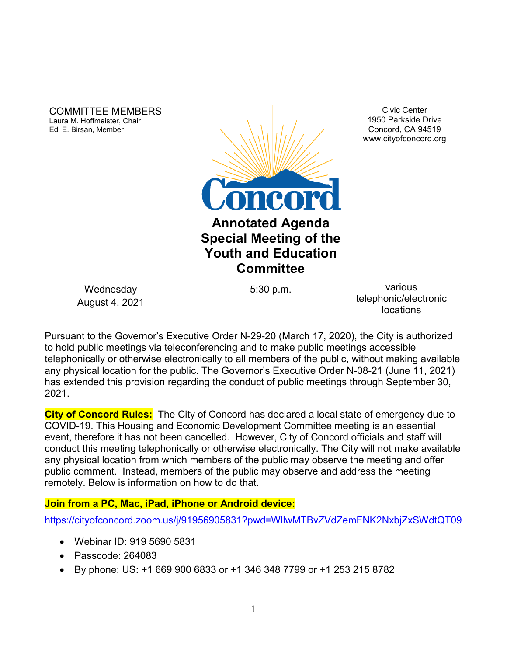COMMITTEE MEMBERS Laura M. Hoffmeister, Chair Edi E. Birsan, Member



Civic Center 1950 Parkside Drive Concord, CA 94519 www.cityofconcord.org

Wednesday August 4, 2021

5:30 p.m. various telephonic/electronic locations

Pursuant to the Governor's Executive Order N-29-20 (March 17, 2020), the City is authorized to hold public meetings via teleconferencing and to make public meetings accessible telephonically or otherwise electronically to all members of the public, without making available any physical location for the public. The Governor's Executive Order N-08-21 (June 11, 2021) has extended this provision regarding the conduct of public meetings through September 30, 2021.

**City of Concord Rules:** The City of Concord has declared a local state of emergency due to COVID-19. This Housing and Economic Development Committee meeting is an essential event, therefore it has not been cancelled. However, City of Concord officials and staff will conduct this meeting telephonically or otherwise electronically. The City will not make available any physical location from which members of the public may observe the meeting and offer public comment. Instead, members of the public may observe and address the meeting remotely. Below is information on how to do that.

### **Join from a PC, Mac, iPad, iPhone or Android device:**

<https://cityofconcord.zoom.us/j/91956905831?pwd=WllwMTBvZVdZemFNK2NxbjZxSWdtQT09>

- Webinar ID: 919 5690 5831
- Passcode: 264083
- By phone: US: +1 669 900 6833 or +1 346 348 7799 or +1 253 215 8782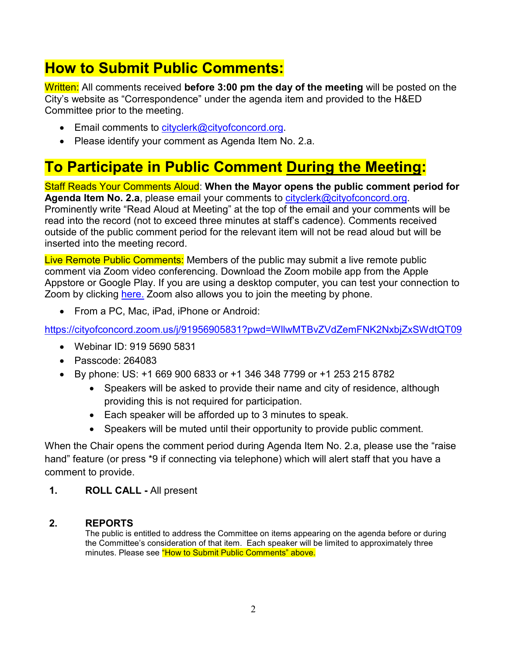# **How to Submit Public Comments:**

Written: All comments received **before 3:00 pm the day of the meeting** will be posted on the City's website as "Correspondence" under the agenda item and provided to the H&ED Committee prior to the meeting.

- Email comments to [cityclerk@cityofconcord.org.](mailto:cityclerk@cityofconcord.org)
- Please identify your comment as Agenda Item No. 2.a.

# **To Participate in Public Comment During the Meeting:**

Staff Reads Your Comments Aloud: **When the Mayor opens the public comment period for Agenda Item No. 2.a**, please email your comments to [cityclerk@cityofconcord.org.](mailto:cityclerk@cityofconcord.org) Prominently write "Read Aloud at Meeting" at the top of the email and your comments will be read into the record (not to exceed three minutes at staff's cadence). Comments received outside of the public comment period for the relevant item will not be read aloud but will be inserted into the meeting record.

Live Remote Public Comments: Members of the public may submit a live remote public comment via Zoom video conferencing. Download the Zoom mobile app from the Apple Appstore or Google Play. If you are using a desktop computer, you can test your connection to Zoom by clicking [here.](https://www.zoom.us/join) Zoom also allows you to join the meeting by phone.

• From a PC, Mac, iPad, iPhone or Android:

<https://cityofconcord.zoom.us/j/91956905831?pwd=WllwMTBvZVdZemFNK2NxbjZxSWdtQT09>

- Webinar ID: 919 5690 5831
- Passcode: 264083
- By phone: US: +1 669 900 6833 or +1 346 348 7799 or +1 253 215 8782
	- Speakers will be asked to provide their name and city of residence, although providing this is not required for participation.
	- Each speaker will be afforded up to 3 minutes to speak.
	- Speakers will be muted until their opportunity to provide public comment.

When the Chair opens the comment period during Agenda Item No. 2.a, please use the "raise hand" feature (or press \*9 if connecting via telephone) which will alert staff that you have a comment to provide.

**1. ROLL CALL -** All present

#### **2. REPORTS**

The public is entitled to address the Committee on items appearing on the agenda before or during the Committee's consideration of that item. Each speaker will be limited to approximately three minutes. Please see "How to Submit Public Comments" above.